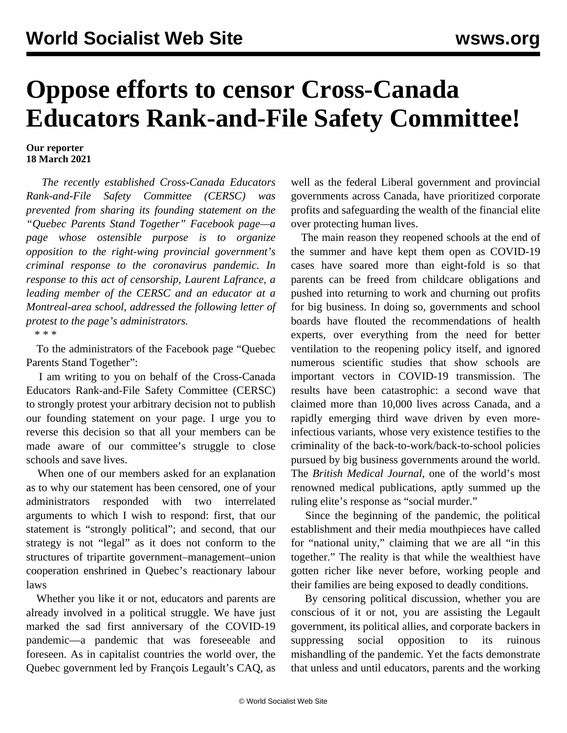## **Oppose efforts to censor Cross-Canada Educators Rank-and-File Safety Committee!**

## **Our reporter 18 March 2021**

 *The recently established Cross-Canada Educators Rank-and-File Safety Committee (CERSC) was prevented from sharing its founding statement on the "Quebec Parents Stand Together" Facebook page—a page whose ostensible purpose is to organize opposition to the right-wing provincial government's criminal response to the coronavirus pandemic. In response to this act of censorship, Laurent Lafrance, a leading member of the CERSC and an educator at a Montreal-area school, addressed the following letter of protest to the page's administrators.*

\* \* \*

 To the administrators of the Facebook page "Quebec Parents Stand Together":

 I am writing to you on behalf of the Cross-Canada Educators Rank-and-File Safety Committee (CERSC) to strongly protest your arbitrary decision not to publish our founding statement on your page. I urge you to reverse this decision so that all your members can be made aware of our committee's struggle to close schools and save lives.

 When one of our members asked for an explanation as to why our statement has been censored, one of your administrators responded with two interrelated arguments to which I wish to respond: first, that our statement is "strongly political"; and second, that our strategy is not "legal" as it does not conform to the structures of tripartite government–management–union cooperation enshrined in Quebec's reactionary labour laws

 Whether you like it or not, educators and parents are already involved in a political struggle. We have just marked the sad first anniversary of the COVID-19 pandemic—a pandemic that was foreseeable and foreseen. As in capitalist countries the world over, the Quebec government led by François Legault's CAQ, as

well as the federal Liberal government and provincial governments across Canada, have prioritized corporate profits and safeguarding the wealth of the financial elite over protecting human lives.

 The main reason they reopened schools at the end of the summer and have kept them open as COVID-19 cases have soared more than eight-fold is so that parents can be freed from childcare obligations and pushed into returning to work and churning out profits for big business. In doing so, governments and school boards have flouted the recommendations of health experts, over everything from the need for better ventilation to the reopening policy itself, and ignored numerous scientific studies that show schools are important vectors in COVID-19 transmission. The results have been catastrophic: a second wave that claimed more than 10,000 lives across Canada, and a rapidly emerging third wave driven by even moreinfectious variants, whose very existence testifies to the criminality of the back-to-work/back-to-school policies pursued by big business governments around the world. The *British Medical Journal*, one of the world's most renowned medical publications, aptly summed up the ruling elite's response as "social murder."

 Since the beginning of the pandemic, the political establishment and their media mouthpieces have called for "national unity," claiming that we are all "in this together." The reality is that while the wealthiest have gotten richer like never before, working people and their families are being exposed to deadly conditions.

 By censoring political discussion, whether you are conscious of it or not, you are assisting the Legault government, its political allies, and corporate backers in suppressing social opposition to its ruinous mishandling of the pandemic. Yet the facts demonstrate that unless and until educators, parents and the working